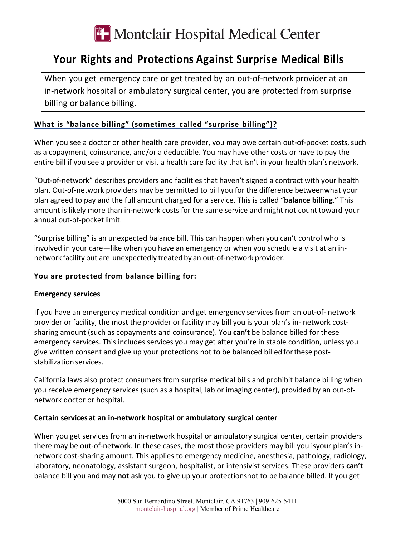

# **Your Rights and Protections Against Surprise Medical Bills**

When you get emergency care or get treated by an out-of-network provider at an in-network hospital or ambulatory surgical center, you are protected from surprise billing or balance billing.

## **What is "balance billing" (sometimes called "surprise billing")?**

When you see a doctor or other health care provider, you may owe certain out-of-pocket costs, such as a copayment, coinsurance, and/or a deductible. You may have other costs or have to pay the entire bill if you see a provider or visit a health care facility that isn't in your health plan's network.

"Out-of-network" describes providers and facilities that haven't signed a contract with your health plan. Out-of-network providers may be permitted to bill you for the difference betweenwhat your plan agreed to pay and the full amount charged for a service. This is called "**balance billing**." This amount is likely more than in-network costs for the same service and might not count toward your annual out-of-pocket limit.

"Surprise billing" is an unexpected balance bill. This can happen when you can't control who is involved in your care—like when you have an emergency or when you schedule a visit at an innetwork facility but are unexpectedly treated by an out-of-network provider.

## **You are protected from balance billing for:**

#### **Emergency services**

If you have an emergency medical condition and get emergency services from an out-of- network provider or facility, the most the provider or facility may bill you is your plan's in- network costsharing amount (such as copayments and coinsurance). You **can't** be balance billed for these emergency services. This includes services you may get after you're in stable condition, unless you give written consent and give up your protections not to be balanced billed forthese poststabilization services.

California laws also protect consumers from surprise medical bills and prohibit balance billing when you receive emergency services (such as a hospital, lab or imaging center), provided by an out-ofnetwork doctor or hospital.

## **Certain services at an in-network hospital or ambulatory surgical center**

When you get services from an in-network hospital or ambulatory surgical center, certain providers there may be out-of-network. In these cases, the most those providers may bill you isyour plan's innetwork cost-sharing amount. This applies to emergency medicine, anesthesia, pathology, radiology, laboratory, neonatology, assistant surgeon, hospitalist, or intensivist services. These providers **can't**  balance bill you and may **not** ask you to give up your protectionsnot to be balance billed. If you get